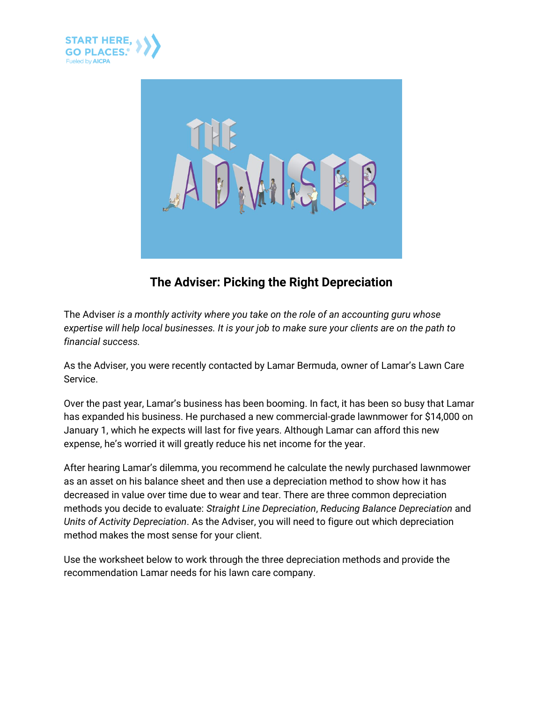



## **The Adviser: Picking the Right Depreciation**

The Adviser *is a monthly activity where you take on the role of an accounting guru whose expertise will help local businesses. It is your job to make sure your clients are on the path to financial success.*

As the Adviser, you were recently contacted by Lamar Bermuda, owner of Lamar's Lawn Care Service.

Over the past year, Lamar's business has been booming. In fact, it has been so busy that Lamar has expanded his business. He purchased a new commercial-grade lawnmower for \$14,000 on January 1, which he expects will last for five years. Although Lamar can afford this new expense, he's worried it will greatly reduce his net income for the year.

After hearing Lamar's dilemma, you recommend he calculate the newly purchased lawnmower as an asset on his balance sheet and then use a depreciation method to show how it has decreased in value over time due to wear and tear. There are three common depreciation methods you decide to evaluate: *Straight Line Depreciation*, *Reducing Balance Depreciation* and *Units of Activity Depreciation*. As the Adviser, you will need to figure out which depreciation method makes the most sense for your client.

Use the worksheet below to work through the three depreciation methods and provide the recommendation Lamar needs for his lawn care company.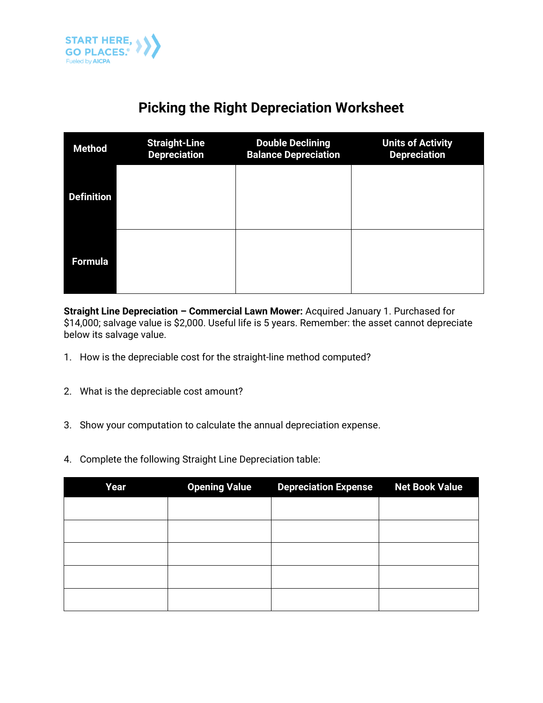

## **Picking the Right Depreciation Worksheet**

| <b>Method</b>     | <b>Straight-Line</b><br><b>Depreciation</b> | <b>Double Declining</b><br><b>Balance Depreciation</b> | <b>Units of Activity</b><br><b>Depreciation</b> |
|-------------------|---------------------------------------------|--------------------------------------------------------|-------------------------------------------------|
| <b>Definition</b> |                                             |                                                        |                                                 |
| <b>Formula</b>    |                                             |                                                        |                                                 |

**Straight Line Depreciation – Commercial Lawn Mower:** Acquired January 1. Purchased for \$14,000; salvage value is \$2,000. Useful life is 5 years. Remember: the asset cannot depreciate below its salvage value.

- 1. How is the depreciable cost for the straight-line method computed?
- 2. What is the depreciable cost amount?
- 3. Show your computation to calculate the annual depreciation expense.
- 4. Complete the following Straight Line Depreciation table:

| Year | <b>Opening Value</b> |  | <b>Net Book Value</b> |
|------|----------------------|--|-----------------------|
|      |                      |  |                       |
|      |                      |  |                       |
|      |                      |  |                       |
|      |                      |  |                       |
|      |                      |  |                       |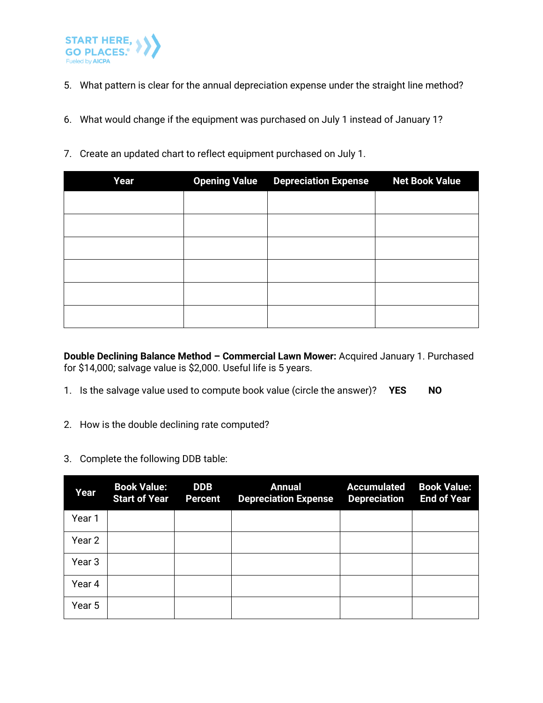

- 5. What pattern is clear for the annual depreciation expense under the straight line method?
- 6. What would change if the equipment was purchased on July 1 instead of January 1?
- 7. Create an updated chart to reflect equipment purchased on July 1.

| Year | <b>Opening Value Depreciation Expense</b> | <b>Net Book Value</b> |
|------|-------------------------------------------|-----------------------|
|      |                                           |                       |
|      |                                           |                       |
|      |                                           |                       |
|      |                                           |                       |
|      |                                           |                       |
|      |                                           |                       |

**Double Declining Balance Method – Commercial Lawn Mower:** Acquired January 1. Purchased for \$14,000; salvage value is \$2,000. Useful life is 5 years.

- 1. Is the salvage value used to compute book value (circle the answer)? **YES NO**
- 2. How is the double declining rate computed?
- 3. Complete the following DDB table:

| Year   | <b>Book Value:</b><br><b>Start of Year</b> | <b>DDB</b><br><b>Percent</b> | <b>Annual</b><br><b>Depreciation Expense</b> | <b>Accumulated</b><br><b>Depreciation</b> | <b>Book Value:</b><br><b>End of Year</b> |
|--------|--------------------------------------------|------------------------------|----------------------------------------------|-------------------------------------------|------------------------------------------|
| Year 1 |                                            |                              |                                              |                                           |                                          |
| Year 2 |                                            |                              |                                              |                                           |                                          |
| Year 3 |                                            |                              |                                              |                                           |                                          |
| Year 4 |                                            |                              |                                              |                                           |                                          |
| Year 5 |                                            |                              |                                              |                                           |                                          |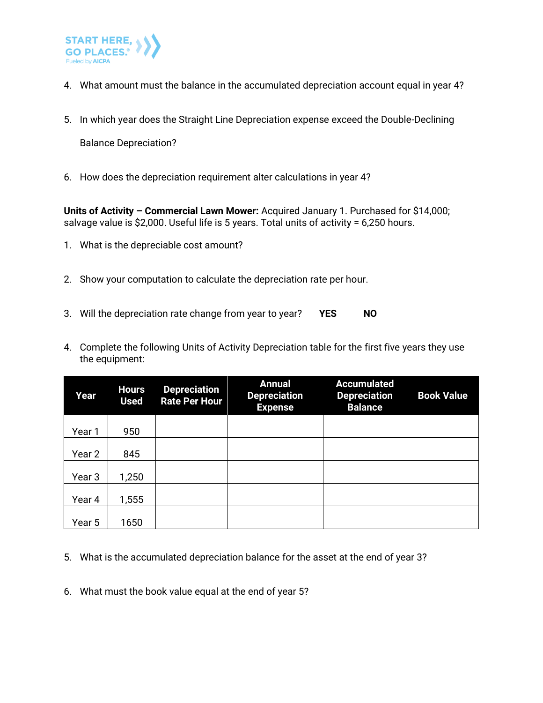

- 4. What amount must the balance in the accumulated depreciation account equal in year 4?
- 5. In which year does the Straight Line Depreciation expense exceed the Double-Declining

Balance Depreciation?

6. How does the depreciation requirement alter calculations in year 4?

**Units of Activity – Commercial Lawn Mower:** Acquired January 1. Purchased for \$14,000; salvage value is \$2,000. Useful life is 5 years. Total units of activity = 6,250 hours.

- 1. What is the depreciable cost amount?
- 2. Show your computation to calculate the depreciation rate per hour.
- 3. Will the depreciation rate change from year to year? **YES NO**
- 4. Complete the following Units of Activity Depreciation table for the first five years they use the equipment:

| Year   | <b>Hours</b><br><b>Used</b> | <b>Depreciation</b><br><b>Rate Per Hour</b> | <b>Annual</b><br><b>Depreciation</b><br><b>Expense</b> | <b>Accumulated</b><br><b>Depreciation</b><br><b>Balance</b> | <b>Book Value</b> |
|--------|-----------------------------|---------------------------------------------|--------------------------------------------------------|-------------------------------------------------------------|-------------------|
| Year 1 | 950                         |                                             |                                                        |                                                             |                   |
|        |                             |                                             |                                                        |                                                             |                   |
| Year 2 | 845                         |                                             |                                                        |                                                             |                   |
| Year 3 | 1,250                       |                                             |                                                        |                                                             |                   |
| Year 4 | 1,555                       |                                             |                                                        |                                                             |                   |
| Year 5 | 1650                        |                                             |                                                        |                                                             |                   |

- 5. What is the accumulated depreciation balance for the asset at the end of year 3?
- 6. What must the book value equal at the end of year 5?